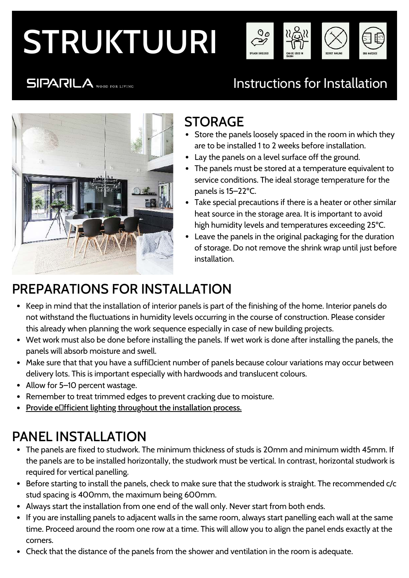# STRUKTUURI



### **SIPARILA** WOOD FOR LIVING

## Instructions for Installation



#### STORAGE

- Store the panels loosely spaced in the room in which they are to be installed 1 to 2 weeks before installation.
- Lay the panels on a level surface off the ground.
- The panels must be stored at a temperature equivalent to service conditions. The ideal storage temperature for the panels is 15–22ºC.
- Take special precautions if there is a heater or other similar heat source in the storage area. It is important to avoid high humidity levels and temperatures exceeding 25ºC.
- Leave the panels in the original packaging for the duration of storage. Do not remove the shrink wrap until just before installation.

## PREPARATIONS FOR INSTALLATION

- Keep in mind that the installation of interior panels is part of the finishing of the home. Interior panels do not withstand the fluctuations in humidity levels occurring in the course of construction. Please consider this already when planning the work sequence especially in case of new building projects.
- Wet work must also be done before installing the panels. If wet work is done after installing the panels, the panels will absorb moisture and swell.
- Make sure that that you have a suffi¤cient number of panels because colour variations may occur between delivery lots. This is important especially with hardwoods and translucent colours.
- Allow for 5–10 percent wastage.
- Remember to treat trimmed edges to prevent cracking due to moisture.
- Provide e $\Box$ fficient lighting throughout the installation process.

## PANEL INSTALLATION

- The panels are fixed to studwork. The minimum thickness of studs is 20mm and minimum width 45mm. If the panels are to be installed horizontally, the studwork must be vertical. In contrast, horizontal studwork is required for vertical panelling.
- Before starting to install the panels, check to make sure that the studwork is straight. The recommended c/c stud spacing is 400mm, the maximum being 600mm.
- Always start the installation from one end of the wall only. Never start from both ends.
- If you are installing panels to adjacent walls in the same room, always start panelling each wall at the same time. Proceed around the room one row at a time. This will allow you to align the panel ends exactly at the corners.
- Check that the distance of the panels from the shower and ventilation in the room is adequate.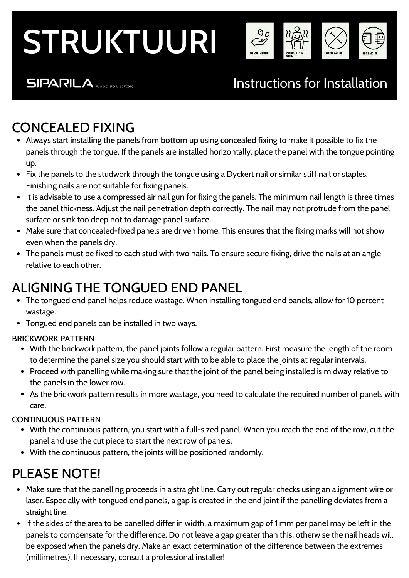# STRUKTUURI



#### **SIPARILA** WOOD FOR LIVING

### Instructions for Installation

### CONCEALED FIXING

- Always start installing the panels from bottom up using concealed fixing to make it possible to fix the panels through the tongue. If the panels are installed horizontally, place the panel with the tongue pointing up.
- Fix the panels to the studwork through the tongue using a Dyckert nail or similar stiff nail or staples. Finishing nails are not suitable for fixing panels.
- It is advisable to use a compressed air nail gun for fixing the panels. The minimum nail length is three times the panel thickness. Adjust the nail penetration depth correctly. The nail may not protrude from the panel surface or sink too deep not to damage panel surface.
- Make sure that concealed-fixed panels are driven home. This ensures that the fixing marks will not show even when the panels dry.
- The panels must be fixed to each stud with two nails. To ensure secure fixing, drive the nails at an angle relative to each other.

### ALIGNING THE TONGUED END PANEL

- The tongued end panel helps reduce wastage. When installing tongued end panels, allow for 10 percent wastage.
- Tongued end panels can be installed in two ways.

#### BRICKWORK PATTERN

- With the brickwork pattern, the panel joints follow a regular pattern. First measure the length of the room to determine the panel size you should start with to be able to place the joints at regular intervals.
- Proceed with panelling while making sure that the joint of the panel being installed is midway relative to the panels in the lower row.
- As the brickwork pattern results in more wastage, you need to calculate the required number of panels with care.

#### CONTINUOUS PATTERN

- With the continuous pattern, you start with a full-sized panel. When you reach the end of the row, cut the panel and use the cut piece to start the next row of panels.
- With the continuous pattern, the joints will be positioned randomly.

### PLEASE NOTE!

- Make sure that the panelling proceeds in a straight line. Carry out regular checks using an alignment wire or laser. Especially with tongued end panels, a gap is created in the end joint if the panelling deviates from a straight line.
- If the sides of the area to be panelled differ in width, a maximum gap of 1 mm per panel may be left in the panels to compensate for the difference. Do not leave a gap greater than this, otherwise the nail heads will be exposed when the panels dry. Make an exact determination of the difference between the extremes (millimetres). If necessary, consult a professional installer!